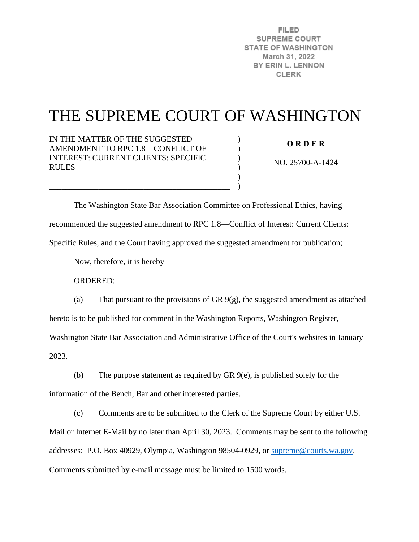**FILED SUPREME COURT STATE OF WASHINGTON** March 31, 2022 BY ERIN L. LENNON **CLERK** 

# THE SUPREME COURT OF WASHINGTON

)  $\lambda$ )  $\mathcal{L}$ ) )

IN THE MATTER OF THE SUGGESTED AMENDMENT TO RPC 1.8—CONFLICT OF INTEREST: CURRENT CLIENTS: SPECIFIC RULES

\_\_\_\_\_\_\_\_\_\_\_\_\_\_\_\_\_\_\_\_\_\_\_\_\_\_\_\_\_\_\_\_\_\_\_\_\_\_\_\_\_\_\_\_

**O R D E R** 

NO. 25700-A-1424

 The Washington State Bar Association Committee on Professional Ethics, having recommended the suggested amendment to RPC 1.8—Conflict of Interest: Current Clients: Specific Rules, and the Court having approved the suggested amendment for publication;

Now, therefore, it is hereby

ORDERED:

(a) That pursuant to the provisions of GR 9(g), the suggested amendment as attached hereto is to be published for comment in the Washington Reports, Washington Register,

Washington State Bar Association and Administrative Office of the Court's websites in January 2023.

(b) The purpose statement as required by GR 9(e), is published solely for the information of the Bench, Bar and other interested parties.

(c) Comments are to be submitted to the Clerk of the Supreme Court by either U.S. Mail or Internet E-Mail by no later than April 30, 2023. Comments may be sent to the following addresses: P.O. Box 40929, Olympia, Washington 98504-0929, or [supreme@courts.wa.gov.](mailto:supreme@courts.wa.gov) Comments submitted by e-mail message must be limited to 1500 words.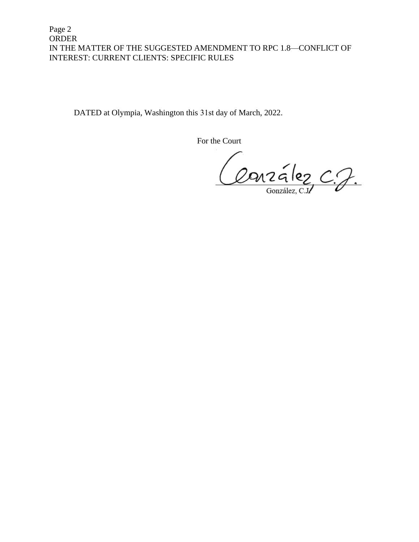Page 2 ORDER IN THE MATTER OF THE SUGGESTED AMENDMENT TO RPC 1.8—CONFLICT OF INTEREST: CURRENT CLIENTS: SPECIFIC RULES

DATED at Olympia, Washington this 31st day of March, 2022.

For the Court

Conzález C.J.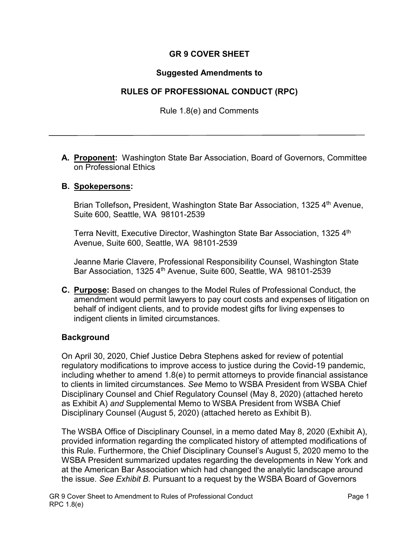## **GR 9 COVER SHEET**

#### **Suggested Amendments to**

### **RULES OF PROFESSIONAL CONDUCT (RPC)**

Rule 1.8(e) and Comments

**A. Proponent:** Washington State Bar Association, Board of Governors, Committee on Professional Ethics

#### **B. Spokepersons:**

Brian Tollefson**,** President, Washington State Bar Association, 1325 4th Avenue, Suite 600, Seattle, WA 98101-2539

Terra Nevitt, Executive Director, Washington State Bar Association, 1325 4<sup>th</sup> Avenue, Suite 600, Seattle, WA 98101-2539

Jeanne Marie Clavere, Professional Responsibility Counsel, Washington State Bar Association, 1325 4<sup>th</sup> Avenue, Suite 600, Seattle, WA 98101-2539

**C. Purpose:** Based on changes to the Model Rules of Professional Conduct, the amendment would permit lawyers to pay court costs and expenses of litigation on behalf of indigent clients, and to provide modest gifts for living expenses to indigent clients in limited circumstances.

#### **Background**

On April 30, 2020, Chief Justice Debra Stephens asked for review of potential regulatory modifications to improve access to justice during the Covid-19 pandemic, including whether to amend 1.8(e) to permit attorneys to provide financial assistance to clients in limited circumstances. *See* Memo to WSBA President from WSBA Chief Disciplinary Counsel and Chief Regulatory Counsel (May 8, 2020) (attached hereto as Exhibit A) *and* Supplemental Memo to WSBA President from WSBA Chief Disciplinary Counsel (August 5, 2020) (attached hereto as Exhibit B).

The WSBA Office of Disciplinary Counsel, in a memo dated May 8, 2020 (Exhibit A), provided information regarding the complicated history of attempted modifications of this Rule. Furthermore, the Chief Disciplinary Counsel's August 5, 2020 memo to the WSBA President summarized updates regarding the developments in New York and at the American Bar Association which had changed the analytic landscape around the issue. *See Exhibit B.* Pursuant to a request by the WSBA Board of Governors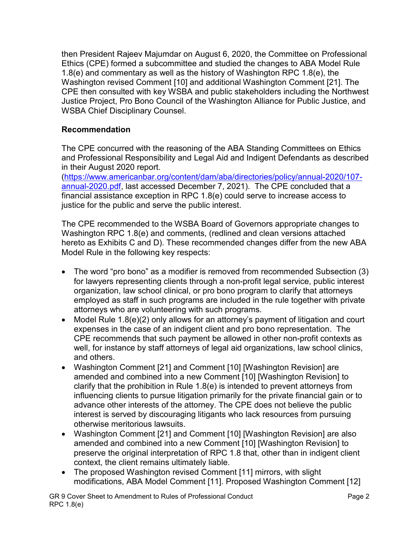then President Rajeev Majumdar on August 6, 2020, the Committee on Professional Ethics (CPE) formed a subcommittee and studied the changes to ABA Model Rule 1.8(e) and commentary as well as the history of Washington RPC 1.8(e), the Washington revised Comment [10] and additional Washington Comment [21]. The CPE then consulted with key WSBA and public stakeholders including the Northwest Justice Project, Pro Bono Council of the Washington Alliance for Public Justice, and WSBA Chief Disciplinary Counsel.

## **Recommendation**

The CPE concurred with the reasoning of the ABA Standing Committees on Ethics and Professional Responsibility and Legal Aid and Indigent Defendants as described in their August 2020 report.

[\(https://www.americanbar.org/content/dam/aba/directories/policy/annual-2020/107](https://www.americanbar.org/content/dam/aba/directories/policy/annual-2020/107-annual-2020.pdf) [annual-2020.pdf,](https://www.americanbar.org/content/dam/aba/directories/policy/annual-2020/107-annual-2020.pdf) last accessed December 7, 2021). The CPE concluded that a financial assistance exception in RPC 1.8(e) could serve to increase access to justice for the public and serve the public interest.

The CPE recommended to the WSBA Board of Governors appropriate changes to Washington RPC 1.8(e) and comments, (redlined and clean versions attached hereto as Exhibits C and D). These recommended changes differ from the new ABA Model Rule in the following key respects:

- The word "pro bono" as a modifier is removed from recommended Subsection (3) for lawyers representing clients through a non-profit legal service, public interest organization, law school clinical, or pro bono program to clarify that attorneys employed as staff in such programs are included in the rule together with private attorneys who are volunteering with such programs.
- Model Rule 1.8(e)(2) only allows for an attorney's payment of litigation and court expenses in the case of an indigent client and pro bono representation. The CPE recommends that such payment be allowed in other non-profit contexts as well, for instance by staff attorneys of legal aid organizations, law school clinics, and others.
- Washington Comment [21] and Comment [10] [Washington Revision] are amended and combined into a new Comment [10] [Washington Revision] to clarify that the prohibition in Rule 1.8(e) is intended to prevent attorneys from influencing clients to pursue litigation primarily for the private financial gain or to advance other interests of the attorney. The CPE does not believe the public interest is served by discouraging litigants who lack resources from pursuing otherwise meritorious lawsuits.
- Washington Comment [21] and Comment [10] [Washington Revision] are also amended and combined into a new Comment [10] [Washington Revision] to preserve the original interpretation of RPC 1.8 that, other than in indigent client context, the client remains ultimately liable.
- The proposed Washington revised Comment [11] mirrors, with slight modifications, ABA Model Comment [11]. Proposed Washington Comment [12]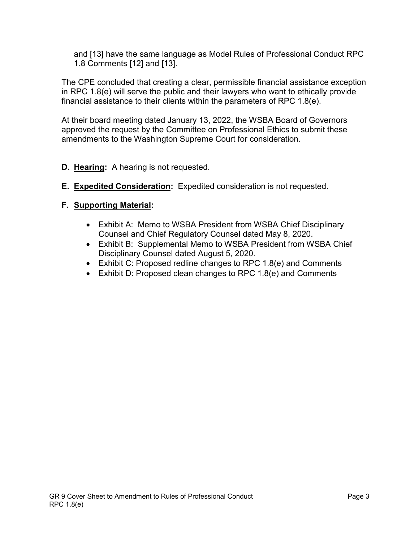and [13] have the same language as Model Rules of Professional Conduct RPC 1.8 Comments [12] and [13].

The CPE concluded that creating a clear, permissible financial assistance exception in RPC 1.8(e) will serve the public and their lawyers who want to ethically provide financial assistance to their clients within the parameters of RPC 1.8(e).

At their board meeting dated January 13, 2022, the WSBA Board of Governors approved the request by the Committee on Professional Ethics to submit these amendments to the Washington Supreme Court for consideration.

- **D. Hearing:** A hearing is not requested.
- **E. Expedited Consideration:** Expedited consideration is not requested.

## **F. Supporting Material:**

- Exhibit A: Memo to WSBA President from WSBA Chief Disciplinary Counsel and Chief Regulatory Counsel dated May 8, 2020.
- Exhibit B: Supplemental Memo to WSBA President from WSBA Chief Disciplinary Counsel dated August 5, 2020.
- Exhibit C: Proposed redline changes to RPC 1.8(e) and Comments
- Exhibit D: Proposed clean changes to RPC 1.8(e) and Comments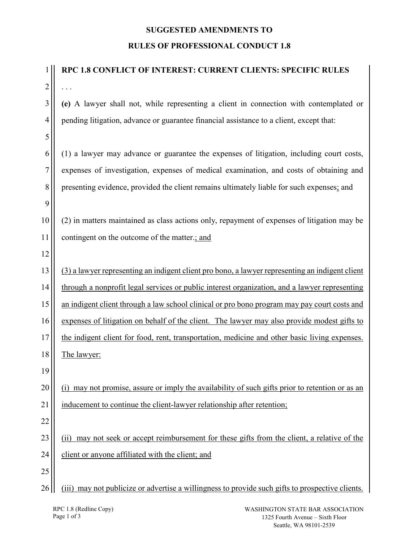## **SUGGESTED AMENDMENTS TO RULES OF PROFESSIONAL CONDUCT 1.8**

| 1              | RPC 1.8 CONFLICT OF INTEREST: CURRENT CLIENTS: SPECIFIC RULES                                    |
|----------------|--------------------------------------------------------------------------------------------------|
| $\overline{c}$ |                                                                                                  |
| 3              | (e) A lawyer shall not, while representing a client in connection with contemplated or           |
| 4              | pending litigation, advance or guarantee financial assistance to a client, except that:          |
| 5              |                                                                                                  |
| 6              | (1) a lawyer may advance or guarantee the expenses of litigation, including court costs,         |
| 7              | expenses of investigation, expenses of medical examination, and costs of obtaining and           |
| 8              | presenting evidence, provided the client remains ultimately liable for such expenses; and        |
| 9              |                                                                                                  |
| 10             | (2) in matters maintained as class actions only, repayment of expenses of litigation may be      |
| 11             | contingent on the outcome of the matter.; and                                                    |
| 12             |                                                                                                  |
| 13             | (3) a lawyer representing an indigent client pro bono, a lawyer representing an indigent client  |
| 14             | through a nonprofit legal services or public interest organization, and a lawyer representing    |
| 15             | an indigent client through a law school clinical or pro bono program may pay court costs and     |
| 16             | expenses of litigation on behalf of the client. The lawyer may also provide modest gifts to      |
| 17             | the indigent client for food, rent, transportation, medicine and other basic living expenses.    |
| 18             | The lawyer:                                                                                      |
| 19             |                                                                                                  |
| 20             | (i) may not promise, assure or imply the availability of such gifts prior to retention or as an  |
| 21             | inducement to continue the client-lawyer relationship after retention;                           |
| 22             |                                                                                                  |
| 23             | may not seek or accept reimbursement for these gifts from the client, a relative of the<br>(ii)  |
| 24             | client or anyone affiliated with the client; and                                                 |
| 25             |                                                                                                  |
| 26             | (iii) may not publicize or advertise a willingness to provide such gifts to prospective clients. |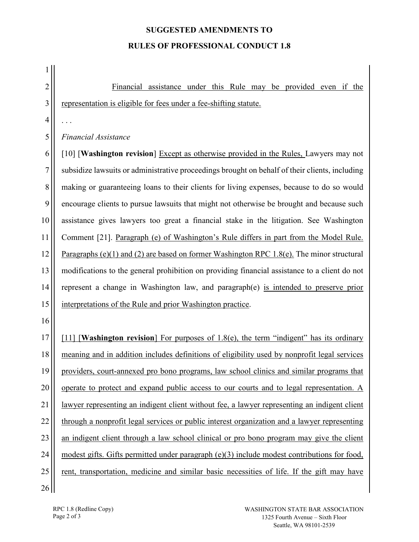# **SUGGESTED AMENDMENTS TO RULES OF PROFESSIONAL CONDUCT 1.8**

| 1              |                                                                                                |
|----------------|------------------------------------------------------------------------------------------------|
| $\overline{2}$ | Financial assistance under this Rule may be provided even if the                               |
| 3              | representation is eligible for fees under a fee-shifting statute.                              |
| $\overline{4}$ |                                                                                                |
| 5              | <b>Financial Assistance</b>                                                                    |
| 6              | [10] [Washington revision] Except as otherwise provided in the Rules, Lawyers may not          |
| 7              | subsidize lawsuits or administrative proceedings brought on behalf of their clients, including |
| 8              | making or guaranteeing loans to their clients for living expenses, because to do so would      |
| 9              | encourage clients to pursue lawsuits that might not otherwise be brought and because such      |
| 10             | assistance gives lawyers too great a financial stake in the litigation. See Washington         |
| 11             | Comment [21]. Paragraph (e) of Washington's Rule differs in part from the Model Rule.          |
| 12             | Paragraphs (e)(1) and (2) are based on former Washington RPC 1.8(e). The minor structural      |
| 13             | modifications to the general prohibition on providing financial assistance to a client do not  |
| 14             | represent a change in Washington law, and paragraph(e) is intended to preserve prior           |
| 15             | interpretations of the Rule and prior Washington practice.                                     |
| 16             |                                                                                                |
| 17             | [11] [Washington revision] For purposes of 1.8(e), the term "indigent" has its ordinary        |
| 18             | meaning and in addition includes definitions of eligibility used by nonprofit legal services   |
| 19             | providers, court-annexed pro bono programs, law school clinics and similar programs that       |
| 20             | operate to protect and expand public access to our courts and to legal representation. A       |
| 21             | lawyer representing an indigent client without fee, a lawyer representing an indigent client   |
| 22             | through a nonprofit legal services or public interest organization and a lawyer representing   |
| 23             | an indigent client through a law school clinical or pro bono program may give the client       |
| 24             | modest gifts. Gifts permitted under paragraph $(e)(3)$ include modest contributions for food,  |
| 25             | rent, transportation, medicine and similar basic necessities of life. If the gift may have     |
| 26             |                                                                                                |